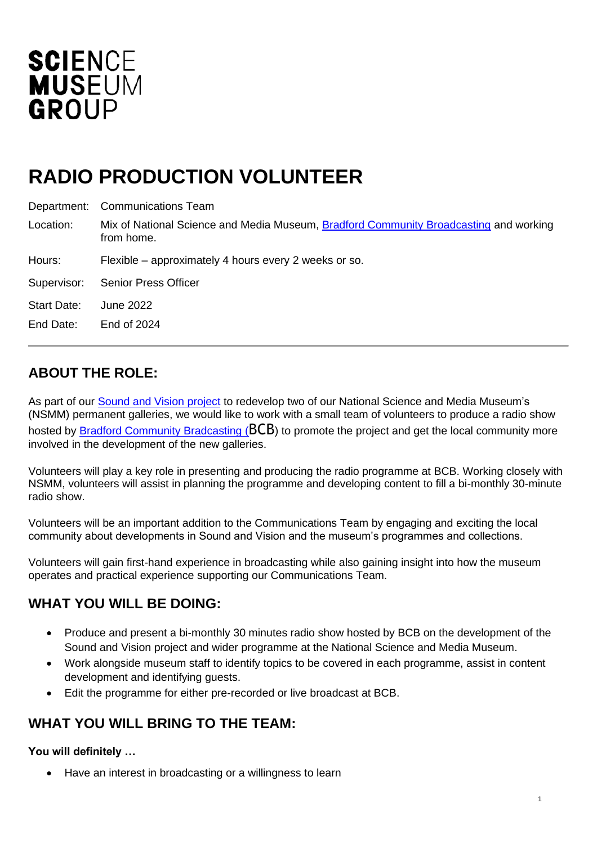

# **RADIO PRODUCTION VOLUNTEER**

Department: Communications Team

- Location: Mix of National Science and Media Museum, [Bradford Community Broadcasting](https://www.bcbradio.co.uk/) and working from home.
- Hours: Flexible approximately 4 hours every 2 weeks or so.
- Supervisor: Senior Press Officer

Start Date: June 2022

End Date: End of 2024

### **ABOUT THE ROLE:**

As part of our [Sound and Vision project](https://www.scienceandmediamuseum.org.uk/about-us/sound-and-vision-project) to redevelop two of our National Science and Media Museum's (NSMM) permanent galleries, we would like to work with a small team of volunteers to produce a radio show hosted by Bradford Community Bradcasting (BCB) to promote the project and get the local community more involved in the development of the new galleries.

Volunteers will play a key role in presenting and producing the radio programme at BCB. Working closely with NSMM, volunteers will assist in planning the programme and developing content to fill a bi-monthly 30-minute radio show.

Volunteers will be an important addition to the Communications Team by engaging and exciting the local community about developments in Sound and Vision and the museum's programmes and collections.

Volunteers will gain first-hand experience in broadcasting while also gaining insight into how the museum operates and practical experience supporting our Communications Team.

### **WHAT YOU WILL BE DOING:**

- Produce and present a bi-monthly 30 minutes radio show hosted by BCB on the development of the Sound and Vision project and wider programme at the National Science and Media Museum.
- Work alongside museum staff to identify topics to be covered in each programme, assist in content development and identifying guests.
- Edit the programme for either pre-recorded or live broadcast at BCB.

### **WHAT YOU WILL BRING TO THE TEAM:**

#### **You will definitely …**

• Have an interest in broadcasting or a willingness to learn